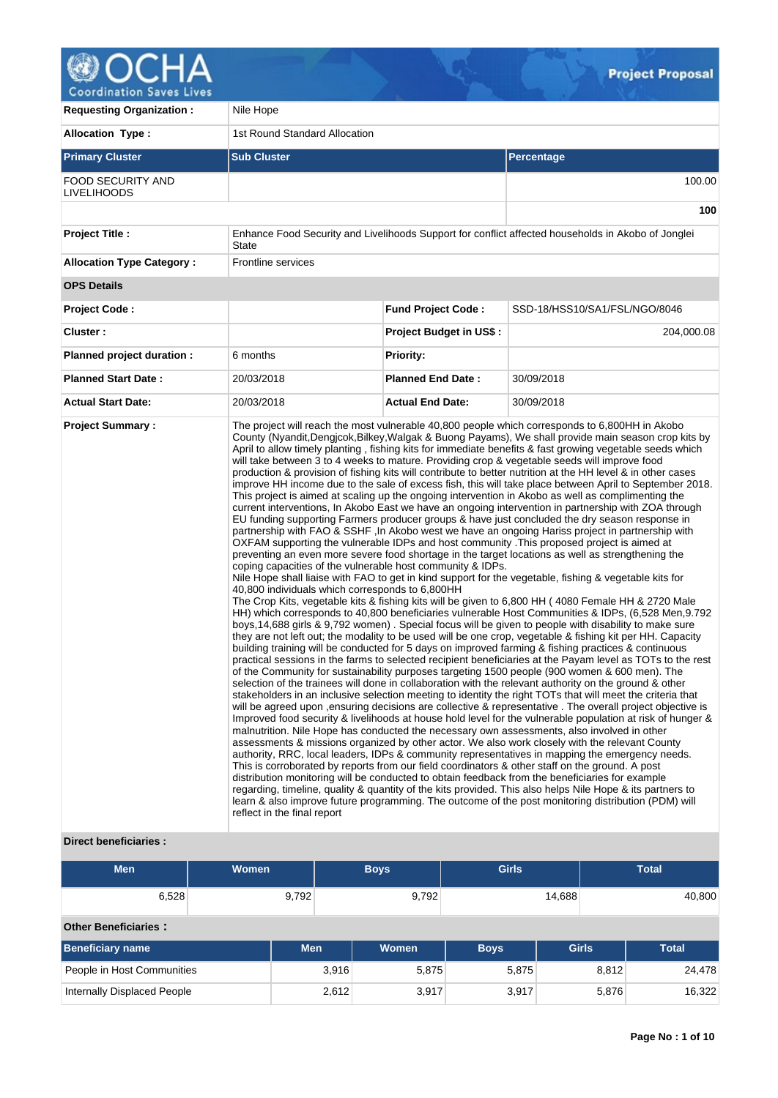

| <b>Requesting Organization:</b>         | Nile Hope                                                                                                                                    |                                |                                                                                                                                                                                                                                                                                                                                                                                                                                                                                                                                                                                                                                                                                                                                                                                                                                                                                                                                                                                                                                                                                                                                                                                                                                                                                                                                                                                                                                                                                                                                                                                                                                                                                                                                                                                                                                                                                                                                                                                                                                                                                                                                                                                                                                                                                                                                                                                                                                                                                                                                                                                                                                                                                                                                                                                                                                                                                                                                                                                                                                                                                                                                                                                                                                                                                                                            |  |  |  |  |
|-----------------------------------------|----------------------------------------------------------------------------------------------------------------------------------------------|--------------------------------|----------------------------------------------------------------------------------------------------------------------------------------------------------------------------------------------------------------------------------------------------------------------------------------------------------------------------------------------------------------------------------------------------------------------------------------------------------------------------------------------------------------------------------------------------------------------------------------------------------------------------------------------------------------------------------------------------------------------------------------------------------------------------------------------------------------------------------------------------------------------------------------------------------------------------------------------------------------------------------------------------------------------------------------------------------------------------------------------------------------------------------------------------------------------------------------------------------------------------------------------------------------------------------------------------------------------------------------------------------------------------------------------------------------------------------------------------------------------------------------------------------------------------------------------------------------------------------------------------------------------------------------------------------------------------------------------------------------------------------------------------------------------------------------------------------------------------------------------------------------------------------------------------------------------------------------------------------------------------------------------------------------------------------------------------------------------------------------------------------------------------------------------------------------------------------------------------------------------------------------------------------------------------------------------------------------------------------------------------------------------------------------------------------------------------------------------------------------------------------------------------------------------------------------------------------------------------------------------------------------------------------------------------------------------------------------------------------------------------------------------------------------------------------------------------------------------------------------------------------------------------------------------------------------------------------------------------------------------------------------------------------------------------------------------------------------------------------------------------------------------------------------------------------------------------------------------------------------------------------------------------------------------------------------------------------------------------|--|--|--|--|
| <b>Allocation Type:</b>                 | 1st Round Standard Allocation                                                                                                                |                                |                                                                                                                                                                                                                                                                                                                                                                                                                                                                                                                                                                                                                                                                                                                                                                                                                                                                                                                                                                                                                                                                                                                                                                                                                                                                                                                                                                                                                                                                                                                                                                                                                                                                                                                                                                                                                                                                                                                                                                                                                                                                                                                                                                                                                                                                                                                                                                                                                                                                                                                                                                                                                                                                                                                                                                                                                                                                                                                                                                                                                                                                                                                                                                                                                                                                                                                            |  |  |  |  |
| <b>Primary Cluster</b>                  | <b>Sub Cluster</b>                                                                                                                           |                                | <b>Percentage</b>                                                                                                                                                                                                                                                                                                                                                                                                                                                                                                                                                                                                                                                                                                                                                                                                                                                                                                                                                                                                                                                                                                                                                                                                                                                                                                                                                                                                                                                                                                                                                                                                                                                                                                                                                                                                                                                                                                                                                                                                                                                                                                                                                                                                                                                                                                                                                                                                                                                                                                                                                                                                                                                                                                                                                                                                                                                                                                                                                                                                                                                                                                                                                                                                                                                                                                          |  |  |  |  |
| <b>FOOD SECURITY AND</b><br>LIVELIHOODS |                                                                                                                                              |                                | 100.00                                                                                                                                                                                                                                                                                                                                                                                                                                                                                                                                                                                                                                                                                                                                                                                                                                                                                                                                                                                                                                                                                                                                                                                                                                                                                                                                                                                                                                                                                                                                                                                                                                                                                                                                                                                                                                                                                                                                                                                                                                                                                                                                                                                                                                                                                                                                                                                                                                                                                                                                                                                                                                                                                                                                                                                                                                                                                                                                                                                                                                                                                                                                                                                                                                                                                                                     |  |  |  |  |
|                                         |                                                                                                                                              |                                | 100                                                                                                                                                                                                                                                                                                                                                                                                                                                                                                                                                                                                                                                                                                                                                                                                                                                                                                                                                                                                                                                                                                                                                                                                                                                                                                                                                                                                                                                                                                                                                                                                                                                                                                                                                                                                                                                                                                                                                                                                                                                                                                                                                                                                                                                                                                                                                                                                                                                                                                                                                                                                                                                                                                                                                                                                                                                                                                                                                                                                                                                                                                                                                                                                                                                                                                                        |  |  |  |  |
| <b>Project Title:</b>                   | State                                                                                                                                        |                                | Enhance Food Security and Livelihoods Support for conflict affected households in Akobo of Jonglei                                                                                                                                                                                                                                                                                                                                                                                                                                                                                                                                                                                                                                                                                                                                                                                                                                                                                                                                                                                                                                                                                                                                                                                                                                                                                                                                                                                                                                                                                                                                                                                                                                                                                                                                                                                                                                                                                                                                                                                                                                                                                                                                                                                                                                                                                                                                                                                                                                                                                                                                                                                                                                                                                                                                                                                                                                                                                                                                                                                                                                                                                                                                                                                                                         |  |  |  |  |
| <b>Allocation Type Category:</b>        | Frontline services                                                                                                                           |                                |                                                                                                                                                                                                                                                                                                                                                                                                                                                                                                                                                                                                                                                                                                                                                                                                                                                                                                                                                                                                                                                                                                                                                                                                                                                                                                                                                                                                                                                                                                                                                                                                                                                                                                                                                                                                                                                                                                                                                                                                                                                                                                                                                                                                                                                                                                                                                                                                                                                                                                                                                                                                                                                                                                                                                                                                                                                                                                                                                                                                                                                                                                                                                                                                                                                                                                                            |  |  |  |  |
| <b>OPS Details</b>                      |                                                                                                                                              |                                |                                                                                                                                                                                                                                                                                                                                                                                                                                                                                                                                                                                                                                                                                                                                                                                                                                                                                                                                                                                                                                                                                                                                                                                                                                                                                                                                                                                                                                                                                                                                                                                                                                                                                                                                                                                                                                                                                                                                                                                                                                                                                                                                                                                                                                                                                                                                                                                                                                                                                                                                                                                                                                                                                                                                                                                                                                                                                                                                                                                                                                                                                                                                                                                                                                                                                                                            |  |  |  |  |
| <b>Project Code:</b>                    |                                                                                                                                              | <b>Fund Project Code:</b>      | SSD-18/HSS10/SA1/FSL/NGO/8046                                                                                                                                                                                                                                                                                                                                                                                                                                                                                                                                                                                                                                                                                                                                                                                                                                                                                                                                                                                                                                                                                                                                                                                                                                                                                                                                                                                                                                                                                                                                                                                                                                                                                                                                                                                                                                                                                                                                                                                                                                                                                                                                                                                                                                                                                                                                                                                                                                                                                                                                                                                                                                                                                                                                                                                                                                                                                                                                                                                                                                                                                                                                                                                                                                                                                              |  |  |  |  |
| Cluster:                                |                                                                                                                                              | <b>Project Budget in US\$:</b> | 204,000.08                                                                                                                                                                                                                                                                                                                                                                                                                                                                                                                                                                                                                                                                                                                                                                                                                                                                                                                                                                                                                                                                                                                                                                                                                                                                                                                                                                                                                                                                                                                                                                                                                                                                                                                                                                                                                                                                                                                                                                                                                                                                                                                                                                                                                                                                                                                                                                                                                                                                                                                                                                                                                                                                                                                                                                                                                                                                                                                                                                                                                                                                                                                                                                                                                                                                                                                 |  |  |  |  |
| Planned project duration :              | 6 months                                                                                                                                     | <b>Priority:</b>               |                                                                                                                                                                                                                                                                                                                                                                                                                                                                                                                                                                                                                                                                                                                                                                                                                                                                                                                                                                                                                                                                                                                                                                                                                                                                                                                                                                                                                                                                                                                                                                                                                                                                                                                                                                                                                                                                                                                                                                                                                                                                                                                                                                                                                                                                                                                                                                                                                                                                                                                                                                                                                                                                                                                                                                                                                                                                                                                                                                                                                                                                                                                                                                                                                                                                                                                            |  |  |  |  |
| <b>Planned Start Date:</b>              | 20/03/2018                                                                                                                                   | <b>Planned End Date:</b>       | 30/09/2018                                                                                                                                                                                                                                                                                                                                                                                                                                                                                                                                                                                                                                                                                                                                                                                                                                                                                                                                                                                                                                                                                                                                                                                                                                                                                                                                                                                                                                                                                                                                                                                                                                                                                                                                                                                                                                                                                                                                                                                                                                                                                                                                                                                                                                                                                                                                                                                                                                                                                                                                                                                                                                                                                                                                                                                                                                                                                                                                                                                                                                                                                                                                                                                                                                                                                                                 |  |  |  |  |
| <b>Actual Start Date:</b>               | 20/03/2018                                                                                                                                   | <b>Actual End Date:</b>        | 30/09/2018                                                                                                                                                                                                                                                                                                                                                                                                                                                                                                                                                                                                                                                                                                                                                                                                                                                                                                                                                                                                                                                                                                                                                                                                                                                                                                                                                                                                                                                                                                                                                                                                                                                                                                                                                                                                                                                                                                                                                                                                                                                                                                                                                                                                                                                                                                                                                                                                                                                                                                                                                                                                                                                                                                                                                                                                                                                                                                                                                                                                                                                                                                                                                                                                                                                                                                                 |  |  |  |  |
| <b>Project Summary:</b>                 | coping capacities of the vulnerable host community & IDPs.<br>40,800 individuals which corresponds to 6,800HH<br>reflect in the final report |                                | The project will reach the most vulnerable 40,800 people which corresponds to 6,800HH in Akobo<br>County (Nyandit, Dengjcok, Bilkey, Walgak & Buong Payams), We shall provide main season crop kits by<br>April to allow timely planting, fishing kits for immediate benefits & fast growing vegetable seeds which<br>will take between 3 to 4 weeks to mature. Providing crop & vegetable seeds will improve food<br>production & provision of fishing kits will contribute to better nutrition at the HH level & in other cases<br>improve HH income due to the sale of excess fish, this will take place between April to September 2018.<br>This project is aimed at scaling up the ongoing intervention in Akobo as well as complimenting the<br>current interventions, In Akobo East we have an ongoing intervention in partnership with ZOA through<br>EU funding supporting Farmers producer groups & have just concluded the dry season response in<br>partnership with FAO & SSHF, In Akobo west we have an ongoing Hariss project in partnership with<br>OXFAM supporting the vulnerable IDPs and host community . This proposed project is aimed at<br>preventing an even more severe food shortage in the target locations as well as strengthening the<br>Nile Hope shall liaise with FAO to get in kind support for the vegetable, fishing & vegetable kits for<br>The Crop Kits, vegetable kits & fishing kits will be given to 6,800 HH (4080 Female HH & 2720 Male<br>HH) which corresponds to 40,800 beneficiaries vulnerable Host Communities & IDPs, (6,528 Men, 9.792)<br>boys, 14,688 girls & 9,792 women). Special focus will be given to people with disability to make sure<br>they are not left out; the modality to be used will be one crop, vegetable & fishing kit per HH. Capacity<br>building training will be conducted for 5 days on improved farming & fishing practices & continuous<br>practical sessions in the farms to selected recipient beneficiaries at the Payam level as TOTs to the rest<br>of the Community for sustainability purposes targeting 1500 people (900 women & 600 men). The<br>selection of the trainees will done in collaboration with the relevant authority on the ground & other<br>stakeholders in an inclusive selection meeting to identity the right TOTs that will meet the criteria that<br>will be agreed upon , ensuring decisions are collective & representative. The overall project objective is<br>Improved food security & livelihoods at house hold level for the vulnerable population at risk of hunger &<br>malnutrition. Nile Hope has conducted the necessary own assessments, also involved in other<br>assessments & missions organized by other actor. We also work closely with the relevant County<br>authority, RRC, local leaders, IDPs & community representatives in mapping the emergency needs.<br>This is corroborated by reports from our field coordinators & other staff on the ground. A post<br>distribution monitoring will be conducted to obtain feedback from the beneficiaries for example<br>regarding, timeline, quality & quantity of the kits provided. This also helps Nile Hope & its partners to<br>learn & also improve future programming. The outcome of the post monitoring distribution (PDM) will |  |  |  |  |

# **Direct beneficiaries :**

| <b>Men</b> | <b>Women</b> | <b>Boys</b> | <b>Girls</b> | <b>Total</b> |
|------------|--------------|-------------|--------------|--------------|
| 6,528      | 9,792        | 9,792       | 4,688        | 40,800       |

## **Other Beneficiaries :**

| <b>Beneficiary name</b>     | Men   | <b>Women</b> | <b>Boys</b> | <b>Girls</b> | Total  |
|-----------------------------|-------|--------------|-------------|--------------|--------|
| People in Host Communities  | 3,916 | 5,875        | 5.875       | 8.812        | 24.478 |
| Internally Displaced People | 2,612 | 3,917        | 3,917       | 5,876        | 16,322 |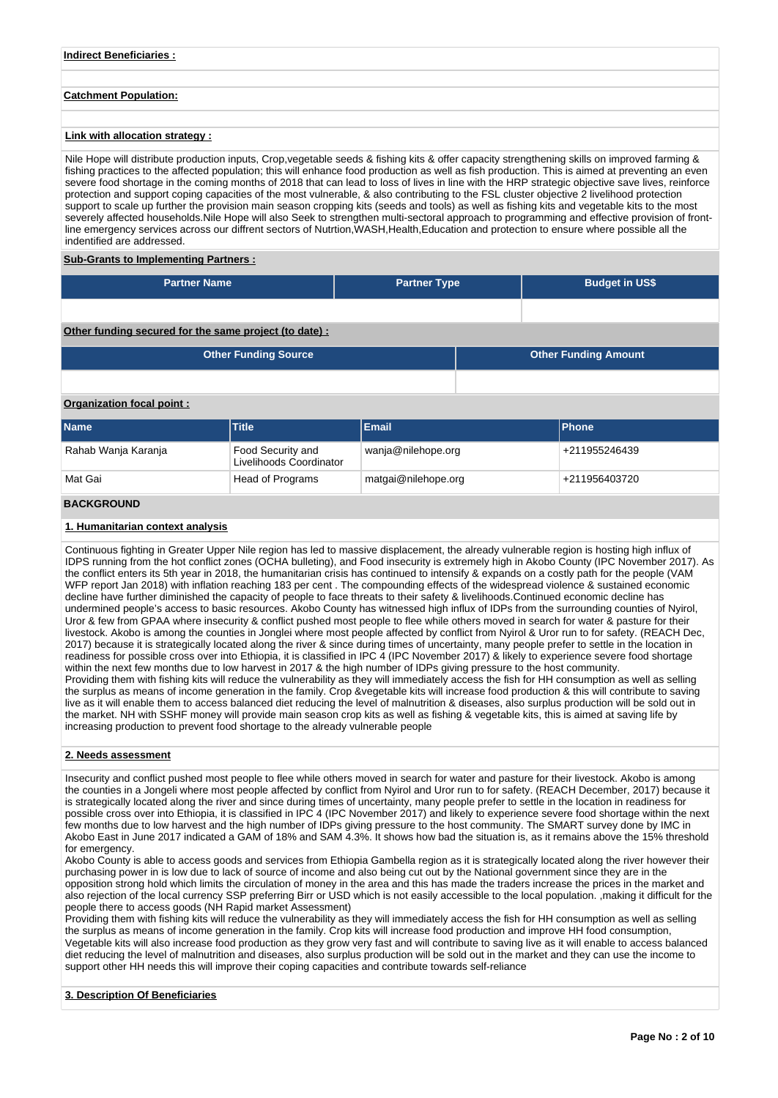## **Indirect Beneficiaries :**

## **Catchment Population:**

## **Link with allocation strategy :**

Nile Hope will distribute production inputs, Crop,vegetable seeds & fishing kits & offer capacity strengthening skills on improved farming & fishing practices to the affected population; this will enhance food production as well as fish production. This is aimed at preventing an even severe food shortage in the coming months of 2018 that can lead to loss of lives in line with the HRP strategic objective save lives, reinforce protection and support coping capacities of the most vulnerable, & also contributing to the FSL cluster objective 2 livelihood protection support to scale up further the provision main season cropping kits (seeds and tools) as well as fishing kits and vegetable kits to the most severely affected households.Nile Hope will also Seek to strengthen multi-sectoral approach to programming and effective provision of frontline emergency services across our diffrent sectors of Nutrtion,WASH,Health,Education and protection to ensure where possible all the indentified are addressed.

#### **Sub-Grants to Implementing Partners :**

| <b>Partner Name</b> | <b>Partner Type</b> | <b>Budget in US\$</b> |
|---------------------|---------------------|-----------------------|
|                     |                     |                       |

## **Other funding secured for the same project (to date) :**

| <b>Other Funding Source</b> | <b>Other Funding Amount</b> |
|-----------------------------|-----------------------------|
|                             |                             |

## **Organization focal point :**

| <b>Name</b>             | Title                                        | Email               | <b>IPhone</b> |
|-------------------------|----------------------------------------------|---------------------|---------------|
| Rahab Wanja Karanja     | Food Security and<br>Livelihoods Coordinator | wanja@nilehope.org  | +211955246439 |
| Mat Gai                 | Head of Programs                             | matgai@nilehope.org | +211956403720 |
| - - - - - - - - - - - - |                                              |                     |               |

# **BACKGROUND**

## **1. Humanitarian context analysis**

Continuous fighting in Greater Upper Nile region has led to massive displacement, the already vulnerable region is hosting high influx of IDPS running from the hot conflict zones (OCHA bulleting), and Food insecurity is extremely high in Akobo County (IPC November 2017). As the conflict enters its 5th year in 2018, the humanitarian crisis has continued to intensify & expands on a costly path for the people (VAM WFP report Jan 2018) with inflation reaching 183 per cent . The compounding effects of the widespread violence & sustained economic decline have further diminished the capacity of people to face threats to their safety & livelihoods.Continued economic decline has undermined people's access to basic resources. Akobo County has witnessed high influx of IDPs from the surrounding counties of Nyirol, Uror & few from GPAA where insecurity & conflict pushed most people to flee while others moved in search for water & pasture for their livestock. Akobo is among the counties in Jonglei where most people affected by conflict from Nyirol & Uror run to for safety. (REACH Dec, 2017) because it is strategically located along the river & since during times of uncertainty, many people prefer to settle in the location in readiness for possible cross over into Ethiopia, it is classified in IPC 4 (IPC November 2017) & likely to experience severe food shortage within the next few months due to low harvest in 2017 & the high number of IDPs giving pressure to the host community. Providing them with fishing kits will reduce the vulnerability as they will immediately access the fish for HH consumption as well as selling the surplus as means of income generation in the family. Crop &vegetable kits will increase food production & this will contribute to saving live as it will enable them to access balanced diet reducing the level of malnutrition & diseases, also surplus production will be sold out in the market. NH with SSHF money will provide main season crop kits as well as fishing & vegetable kits, this is aimed at saving life by increasing production to prevent food shortage to the already vulnerable people

## **2. Needs assessment**

Insecurity and conflict pushed most people to flee while others moved in search for water and pasture for their livestock. Akobo is among the counties in a Jongeli where most people affected by conflict from Nyirol and Uror run to for safety. (REACH December, 2017) because it is strategically located along the river and since during times of uncertainty, many people prefer to settle in the location in readiness for possible cross over into Ethiopia, it is classified in IPC 4 (IPC November 2017) and likely to experience severe food shortage within the next few months due to low harvest and the high number of IDPs giving pressure to the host community. The SMART survey done by IMC in Akobo East in June 2017 indicated a GAM of 18% and SAM 4.3%. It shows how bad the situation is, as it remains above the 15% threshold for emergency.

Akobo County is able to access goods and services from Ethiopia Gambella region as it is strategically located along the river however their purchasing power in is low due to lack of source of income and also being cut out by the National government since they are in the opposition strong hold which limits the circulation of money in the area and this has made the traders increase the prices in the market and also rejection of the local currency SSP preferring Birr or USD which is not easily accessible to the local population. ,making it difficult for the people there to access goods (NH Rapid market Assessment)

Providing them with fishing kits will reduce the vulnerability as they will immediately access the fish for HH consumption as well as selling the surplus as means of income generation in the family. Crop kits will increase food production and improve HH food consumption, Vegetable kits will also increase food production as they grow very fast and will contribute to saving live as it will enable to access balanced diet reducing the level of malnutrition and diseases, also surplus production will be sold out in the market and they can use the income to support other HH needs this will improve their coping capacities and contribute towards self-reliance

#### **3. Description Of Beneficiaries**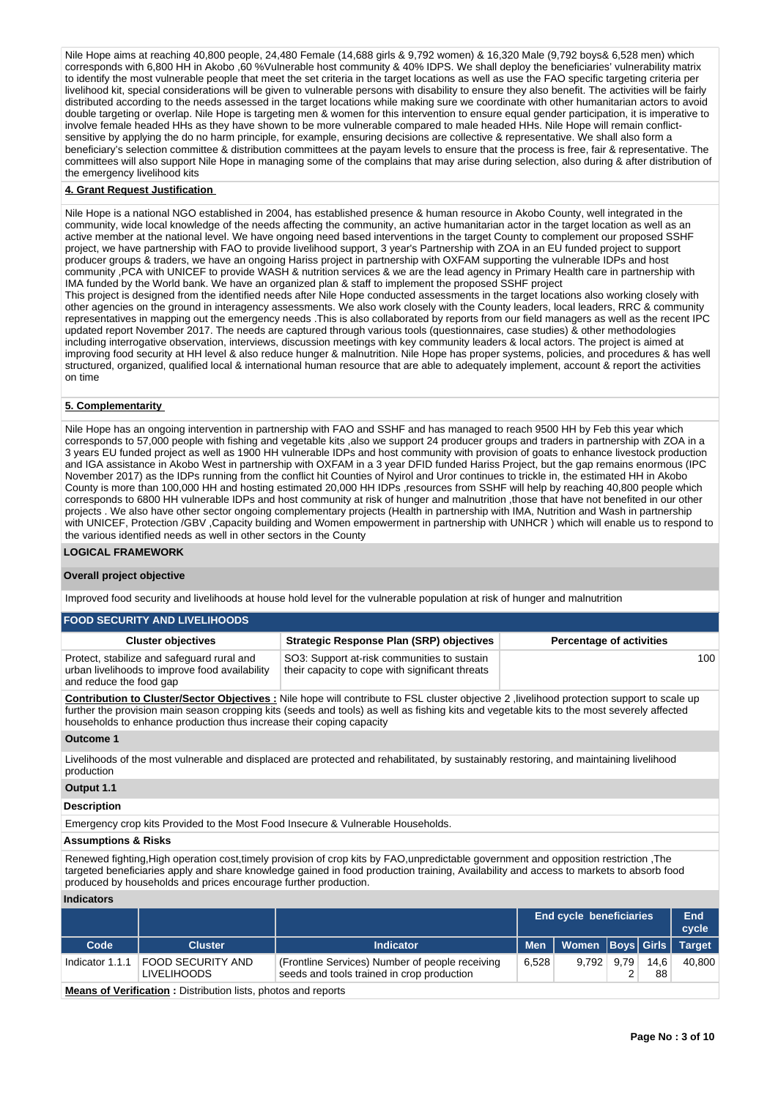Nile Hope aims at reaching 40,800 people, 24,480 Female (14,688 girls & 9,792 women) & 16,320 Male (9,792 boys& 6,528 men) which corresponds with 6,800 HH in Akobo ,60 %Vulnerable host community & 40% IDPS. We shall deploy the beneficiaries' vulnerability matrix to identify the most vulnerable people that meet the set criteria in the target locations as well as use the FAO specific targeting criteria per livelihood kit, special considerations will be given to vulnerable persons with disability to ensure they also benefit. The activities will be fairly distributed according to the needs assessed in the target locations while making sure we coordinate with other humanitarian actors to avoid double targeting or overlap. Nile Hope is targeting men & women for this intervention to ensure equal gender participation, it is imperative to involve female headed HHs as they have shown to be more vulnerable compared to male headed HHs. Nile Hope will remain conflictsensitive by applying the do no harm principle, for example, ensuring decisions are collective & representative. We shall also form a beneficiary's selection committee & distribution committees at the payam levels to ensure that the process is free, fair & representative. The committees will also support Nile Hope in managing some of the complains that may arise during selection, also during & after distribution of the emergency livelihood kits

## **4. Grant Request Justification**

Nile Hope is a national NGO established in 2004, has established presence & human resource in Akobo County, well integrated in the community, wide local knowledge of the needs affecting the community, an active humanitarian actor in the target location as well as an active member at the national level. We have ongoing need based interventions in the target County to complement our proposed SSHF project, we have partnership with FAO to provide livelihood support, 3 year's Partnership with ZOA in an EU funded project to support producer groups & traders, we have an ongoing Hariss project in partnership with OXFAM supporting the vulnerable IDPs and host community ,PCA with UNICEF to provide WASH & nutrition services & we are the lead agency in Primary Health care in partnership with IMA funded by the World bank. We have an organized plan & staff to implement the proposed SSHF project

This project is designed from the identified needs after Nile Hope conducted assessments in the target locations also working closely with other agencies on the ground in interagency assessments. We also work closely with the County leaders, local leaders, RRC & community representatives in mapping out the emergency needs .This is also collaborated by reports from our field managers as well as the recent IPC updated report November 2017. The needs are captured through various tools (questionnaires, case studies) & other methodologies including interrogative observation, interviews, discussion meetings with key community leaders & local actors. The project is aimed at improving food security at HH level & also reduce hunger & malnutrition. Nile Hope has proper systems, policies, and procedures & has well structured, organized, qualified local & international human resource that are able to adequately implement, account & report the activities on time

## **5. Complementarity**

Nile Hope has an ongoing intervention in partnership with FAO and SSHF and has managed to reach 9500 HH by Feb this year which corresponds to 57,000 people with fishing and vegetable kits ,also we support 24 producer groups and traders in partnership with ZOA in a 3 years EU funded project as well as 1900 HH vulnerable IDPs and host community with provision of goats to enhance livestock production and IGA assistance in Akobo West in partnership with OXFAM in a 3 year DFID funded Hariss Project, but the gap remains enormous (IPC November 2017) as the IDPs running from the conflict hit Counties of Nyirol and Uror continues to trickle in, the estimated HH in Akobo County is more than 100,000 HH and hosting estimated 20,000 HH IDPs ,resources from SSHF will help by reaching 40,800 people which corresponds to 6800 HH vulnerable IDPs and host community at risk of hunger and malnutrition ,those that have not benefited in our other projects . We also have other sector ongoing complementary projects (Health in partnership with IMA, Nutrition and Wash in partnership with UNICEF, Protection /GBV ,Capacity building and Women empowerment in partnership with UNHCR ) which will enable us to respond to the various identified needs as well in other sectors in the County

## **LOGICAL FRAMEWORK**

## **Overall project objective**

Improved food security and livelihoods at house hold level for the vulnerable population at risk of hunger and malnutrition

| <b>FOOD SECURITY AND LIVELIHOODS</b>                                                                                    |                                                                                                |                                 |
|-------------------------------------------------------------------------------------------------------------------------|------------------------------------------------------------------------------------------------|---------------------------------|
| <b>Cluster objectives</b>                                                                                               | <b>Strategic Response Plan (SRP) objectives</b>                                                | <b>Percentage of activities</b> |
| Protect, stabilize and safeguard rural and<br>urban livelihoods to improve food availability<br>and reduce the food gap | SO3: Support at-risk communities to sustain<br>their capacity to cope with significant threats | 100                             |

**Contribution to Cluster/Sector Objectives :** Nile hope will contribute to FSL cluster objective 2 ,livelihood protection support to scale up further the provision main season cropping kits (seeds and tools) as well as fishing kits and vegetable kits to the most severely affected households to enhance production thus increase their coping capacity

## **Outcome 1**

Livelihoods of the most vulnerable and displaced are protected and rehabilitated, by sustainably restoring, and maintaining livelihood production

## **Output 1.1**

#### **Description**

Emergency crop kits Provided to the Most Food Insecure & Vulnerable Households.

#### **Assumptions & Risks**

Renewed fighting,High operation cost,timely provision of crop kits by FAO,unpredictable government and opposition restriction ,The targeted beneficiaries apply and share knowledge gained in food production training, Availability and access to markets to absorb food produced by households and prices encourage further production.

## **Indicators**

|                                                                      |                                                           |                                                                                               | <b>End cycle beneficiaries</b> | End<br>cycle                  |      |            |        |
|----------------------------------------------------------------------|-----------------------------------------------------------|-----------------------------------------------------------------------------------------------|--------------------------------|-------------------------------|------|------------|--------|
| Code                                                                 | <b>Cluster</b>                                            | <b>Indicator</b>                                                                              | <b>Men</b>                     | Women   Boys   Girls   Target |      |            |        |
|                                                                      | Indicator 1.1.1   FOOD SECURITY AND<br><b>LIVELIHOODS</b> | (Frontline Services) Number of people receiving<br>seeds and tools trained in crop production | 6.528                          | 9.792                         | 9.79 | 14.6<br>88 | 40.800 |
| <b>Means of Verification:</b> Distribution lists, photos and reports |                                                           |                                                                                               |                                |                               |      |            |        |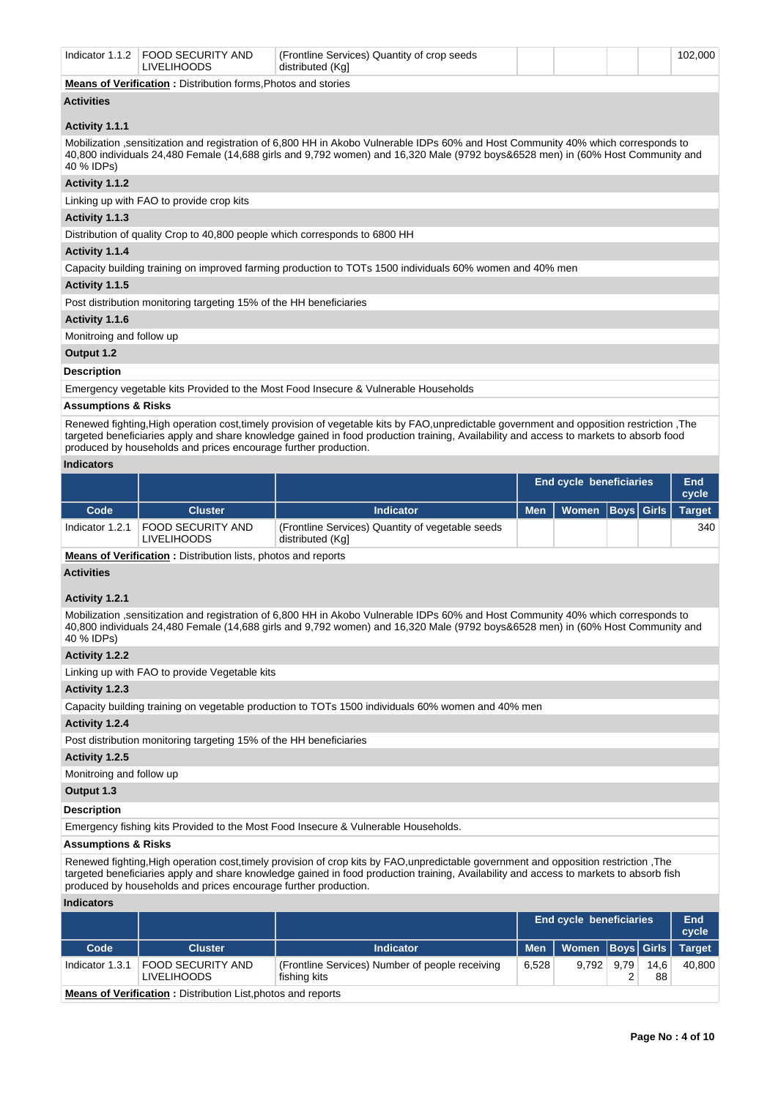|                                                                                                                                                                                                                                                                                   | Indicator 1.1.2 FOOD SECURITY AND<br><b>LIVELIHOODS</b>            | (Frontline Services) Quantity of crop seeds<br>distributed (Kal                                                                                                 |  |  |  |  | 102,000 |  |  |  |  |
|-----------------------------------------------------------------------------------------------------------------------------------------------------------------------------------------------------------------------------------------------------------------------------------|--------------------------------------------------------------------|-----------------------------------------------------------------------------------------------------------------------------------------------------------------|--|--|--|--|---------|--|--|--|--|
| Means of Verification: Distribution forms, Photos and stories                                                                                                                                                                                                                     |                                                                    |                                                                                                                                                                 |  |  |  |  |         |  |  |  |  |
| <b>Activities</b>                                                                                                                                                                                                                                                                 |                                                                    |                                                                                                                                                                 |  |  |  |  |         |  |  |  |  |
| Activity 1.1.1                                                                                                                                                                                                                                                                    |                                                                    |                                                                                                                                                                 |  |  |  |  |         |  |  |  |  |
| Mobilization sensitization and registration of 6,800 HH in Akobo Vulnerable IDPs 60% and Host Community 40% which corresponds to<br>40,800 individuals 24,480 Female (14,688 girls and 9,792 women) and 16,320 Male (9792 boys&6528 men) in (60% Host Community and<br>40 % IDPs) |                                                                    |                                                                                                                                                                 |  |  |  |  |         |  |  |  |  |
| Activity 1.1.2                                                                                                                                                                                                                                                                    |                                                                    |                                                                                                                                                                 |  |  |  |  |         |  |  |  |  |
|                                                                                                                                                                                                                                                                                   | Linking up with FAO to provide crop kits                           |                                                                                                                                                                 |  |  |  |  |         |  |  |  |  |
| Activity 1.1.3                                                                                                                                                                                                                                                                    |                                                                    |                                                                                                                                                                 |  |  |  |  |         |  |  |  |  |
|                                                                                                                                                                                                                                                                                   |                                                                    | Distribution of quality Crop to 40,800 people which corresponds to 6800 HH                                                                                      |  |  |  |  |         |  |  |  |  |
| Activity 1.1.4                                                                                                                                                                                                                                                                    |                                                                    |                                                                                                                                                                 |  |  |  |  |         |  |  |  |  |
|                                                                                                                                                                                                                                                                                   |                                                                    | Capacity building training on improved farming production to TOTs 1500 individuals 60% women and 40% men                                                        |  |  |  |  |         |  |  |  |  |
| Activity 1.1.5                                                                                                                                                                                                                                                                    |                                                                    |                                                                                                                                                                 |  |  |  |  |         |  |  |  |  |
|                                                                                                                                                                                                                                                                                   | Post distribution monitoring targeting 15% of the HH beneficiaries |                                                                                                                                                                 |  |  |  |  |         |  |  |  |  |
| Activity 1.1.6                                                                                                                                                                                                                                                                    |                                                                    |                                                                                                                                                                 |  |  |  |  |         |  |  |  |  |
| Monitroing and follow up                                                                                                                                                                                                                                                          |                                                                    |                                                                                                                                                                 |  |  |  |  |         |  |  |  |  |
| Output 1.2                                                                                                                                                                                                                                                                        |                                                                    |                                                                                                                                                                 |  |  |  |  |         |  |  |  |  |
| <b>Description</b>                                                                                                                                                                                                                                                                |                                                                    |                                                                                                                                                                 |  |  |  |  |         |  |  |  |  |
|                                                                                                                                                                                                                                                                                   |                                                                    | Emergency vegetable kits Provided to the Most Food Insecure & Vulnerable Households                                                                             |  |  |  |  |         |  |  |  |  |
| <b>Assumptions &amp; Risks</b>                                                                                                                                                                                                                                                    |                                                                    |                                                                                                                                                                 |  |  |  |  |         |  |  |  |  |
|                                                                                                                                                                                                                                                                                   |                                                                    | Denoused finities Uich consider sont timely neariging of ventoble lite by $\mathsf{E}\wedge\mathsf{D}$ unprodicteble government and enperation restriction. The |  |  |  |  |         |  |  |  |  |

Renewed fighting,High operation cost,timely provision of vegetable kits by FAO,unpredictable government and opposition restriction ,The targeted beneficiaries apply and share knowledge gained in food production training, Availability and access to markets to absorb food produced by households and prices encourage further production.

## **Indicators**

|                 |                                                |                                                                      |            | <b>End cycle beneficiaries</b> |  |  | End<br>cycle |
|-----------------|------------------------------------------------|----------------------------------------------------------------------|------------|--------------------------------|--|--|--------------|
| Code            | <b>Cluster</b>                                 | <b>Indicator</b>                                                     | <b>Men</b> | Women   Boys   Girls   Target  |  |  |              |
| Indicator 1.2.1 | <b>FOOD SECURITY AND</b><br><b>LIVELIHOODS</b> | (Frontline Services) Quantity of vegetable seeds<br>distributed (Kg) |            |                                |  |  | 340          |

**Means of Verification :** Distribution lists, photos and reports

## **Activities**

#### **Activity 1.2.1**

Mobilization ,sensitization and registration of 6,800 HH in Akobo Vulnerable IDPs 60% and Host Community 40% which corresponds to 40,800 individuals 24,480 Female (14,688 girls and 9,792 women) and 16,320 Male (9792 boys&6528 men) in (60% Host Community and 40 % IDPs)

## **Activity 1.2.2**

Linking up with FAO to provide Vegetable kits

## **Activity 1.2.3**

Capacity building training on vegetable production to TOTs 1500 individuals 60% women and 40% men

## **Activity 1.2.4**

Post distribution monitoring targeting 15% of the HH beneficiaries

## **Activity 1.2.5**

Monitroing and follow up

# **Output 1.3**

## **Description**

Emergency fishing kits Provided to the Most Food Insecure & Vulnerable Households.

## **Assumptions & Risks**

Renewed fighting,High operation cost,timely provision of crop kits by FAO,unpredictable government and opposition restriction ,The targeted beneficiaries apply and share knowledge gained in food production training, Availability and access to markets to absorb fish produced by households and prices encourage further production.

## **Indicators**

|                                                                     |                                                |                                                                 | <b>End cycle beneficiaries</b> | End<br>cycle         |      |            |               |
|---------------------------------------------------------------------|------------------------------------------------|-----------------------------------------------------------------|--------------------------------|----------------------|------|------------|---------------|
| Code                                                                | <b>Cluster</b>                                 | <b>Indicator</b>                                                | <b>Men</b>                     | Women   Boys   Girls |      |            | <b>Target</b> |
| Indicator 1.3.1                                                     | <b>FOOD SECURITY AND</b><br><b>LIVELIHOODS</b> | (Frontline Services) Number of people receiving<br>fishing kits | 6.528                          | 9.792                | 9.79 | 14,6<br>88 | 40,800        |
| <b>Means of Verification:</b> Distribution List, photos and reports |                                                |                                                                 |                                |                      |      |            |               |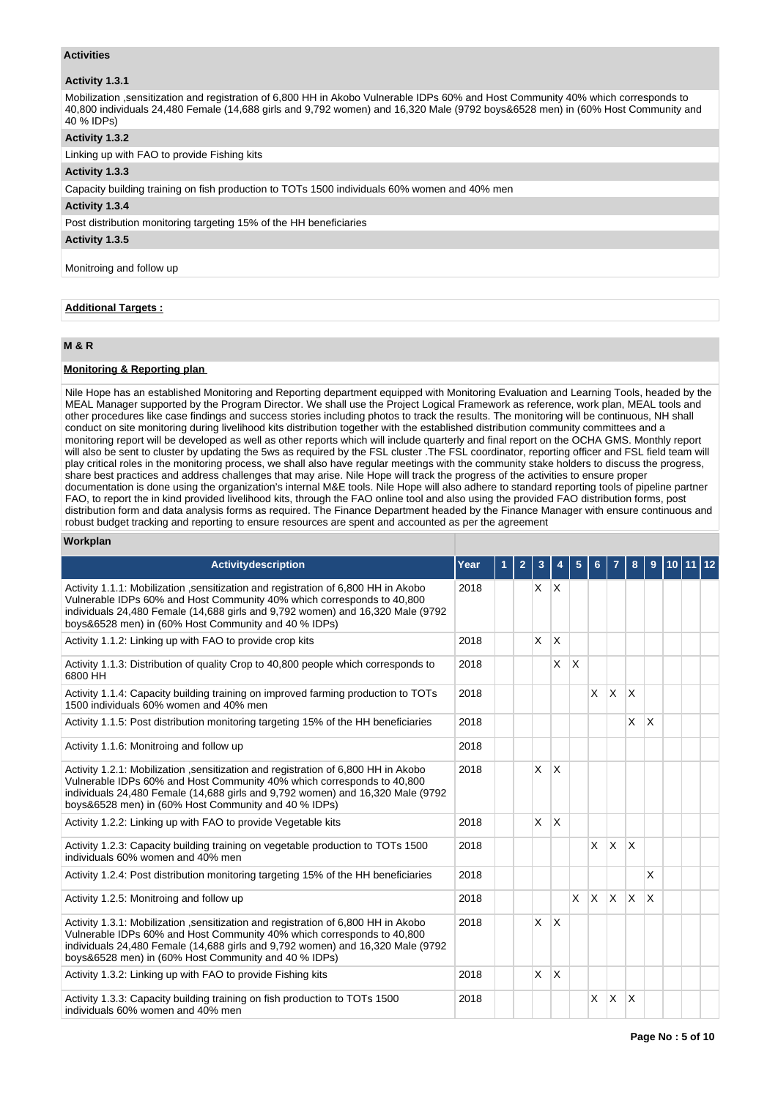## **Activities**

## **Activity 1.3.1**

Mobilization ,sensitization and registration of 6,800 HH in Akobo Vulnerable IDPs 60% and Host Community 40% which corresponds to 40,800 individuals 24,480 Female (14,688 girls and 9,792 women) and 16,320 Male (9792 boys&6528 men) in (60% Host Community and 40 % IDPs)

## **Activity 1.3.2**

Linking up with FAO to provide Fishing kits

## **Activity 1.3.3**

Capacity building training on fish production to TOTs 1500 individuals 60% women and 40% men

## **Activity 1.3.4**

Post distribution monitoring targeting 15% of the HH beneficiaries

## **Activity 1.3.5**

Monitroing and follow up

## **Additional Targets :**

## **M & R**

## **Monitoring & Reporting plan**

Nile Hope has an established Monitoring and Reporting department equipped with Monitoring Evaluation and Learning Tools, headed by the MEAL Manager supported by the Program Director. We shall use the Project Logical Framework as reference, work plan, MEAL tools and other procedures like case findings and success stories including photos to track the results. The monitoring will be continuous, NH shall conduct on site monitoring during livelihood kits distribution together with the established distribution community committees and a monitoring report will be developed as well as other reports which will include quarterly and final report on the OCHA GMS. Monthly report will also be sent to cluster by updating the 5ws as required by the FSL cluster .The FSL coordinator, reporting officer and FSL field team will play critical roles in the monitoring process, we shall also have regular meetings with the community stake holders to discuss the progress, share best practices and address challenges that may arise. Nile Hope will track the progress of the activities to ensure proper documentation is done using the organization's internal M&E tools. Nile Hope will also adhere to standard reporting tools of pipeline partner FAO, to report the in kind provided livelihood kits, through the FAO online tool and also using the provided FAO distribution forms, post distribution form and data analysis forms as required. The Finance Department headed by the Finance Manager with ensure continuous and robust budget tracking and reporting to ensure resources are spent and accounted as per the agreement

#### **Workplan**

| <b>Activitydescription</b>                                                                                                                                                                                                                                                                             | Year | $\mathbf{2}$ | 3            |              | 5                       | 6.           |                         | 8                       | 9            | 10 11 12 |  |
|--------------------------------------------------------------------------------------------------------------------------------------------------------------------------------------------------------------------------------------------------------------------------------------------------------|------|--------------|--------------|--------------|-------------------------|--------------|-------------------------|-------------------------|--------------|----------|--|
| Activity 1.1.1: Mobilization , sensitization and registration of 6,800 HH in Akobo<br>Vulnerable IDPs 60% and Host Community 40% which corresponds to 40,800<br>individuals 24,480 Female (14,688 girls and 9,792 women) and 16,320 Male (9792<br>boys&6528 men) in (60% Host Community and 40 % IDPs) | 2018 |              | X.           | $\mathsf{X}$ |                         |              |                         |                         |              |          |  |
| Activity 1.1.2: Linking up with FAO to provide crop kits                                                                                                                                                                                                                                               | 2018 |              | $\mathsf{X}$ | $\times$     |                         |              |                         |                         |              |          |  |
| Activity 1.1.3: Distribution of quality Crop to 40,800 people which corresponds to<br>6800 HH                                                                                                                                                                                                          | 2018 |              |              | X            | $\overline{\mathsf{x}}$ |              |                         |                         |              |          |  |
| Activity 1.1.4: Capacity building training on improved farming production to TOTs<br>1500 individuals 60% women and 40% men                                                                                                                                                                            | 2018 |              |              |              |                         | X            | $\overline{\mathsf{x}}$ | X                       |              |          |  |
| Activity 1.1.5: Post distribution monitoring targeting 15% of the HH beneficiaries                                                                                                                                                                                                                     | 2018 |              |              |              |                         |              |                         | $\times$                | X            |          |  |
| Activity 1.1.6: Monitroing and follow up                                                                                                                                                                                                                                                               | 2018 |              |              |              |                         |              |                         |                         |              |          |  |
| Activity 1.2.1: Mobilization , sensitization and registration of 6,800 HH in Akobo<br>Vulnerable IDPs 60% and Host Community 40% which corresponds to 40,800<br>individuals 24,480 Female (14,688 girls and 9,792 women) and 16,320 Male (9792<br>boys&6528 men) in (60% Host Community and 40 % IDPs) | 2018 |              | X            | $\times$     |                         |              |                         |                         |              |          |  |
| Activity 1.2.2: Linking up with FAO to provide Vegetable kits                                                                                                                                                                                                                                          | 2018 |              | <b>X</b>     | ΙX.          |                         |              |                         |                         |              |          |  |
| Activity 1.2.3: Capacity building training on vegetable production to TOTs 1500<br>individuals 60% women and 40% men                                                                                                                                                                                   | 2018 |              |              |              |                         | X            | X                       | $\overline{\mathsf{x}}$ |              |          |  |
| Activity 1.2.4: Post distribution monitoring targeting 15% of the HH beneficiaries                                                                                                                                                                                                                     | 2018 |              |              |              |                         |              |                         |                         | $\times$     |          |  |
| Activity 1.2.5: Monitroing and follow up                                                                                                                                                                                                                                                               | 2018 |              |              |              | $\times$                | $\mathsf{x}$ | IX.                     | <b>X</b>                | $\mathsf{x}$ |          |  |
| Activity 1.3.1: Mobilization , sensitization and registration of 6,800 HH in Akobo<br>Vulnerable IDPs 60% and Host Community 40% which corresponds to 40,800<br>individuals 24,480 Female (14,688 girls and 9,792 women) and 16,320 Male (9792<br>boys&6528 men) in (60% Host Community and 40 % IDPs) | 2018 |              | X            | <sup>X</sup> |                         |              |                         |                         |              |          |  |
| Activity 1.3.2: Linking up with FAO to provide Fishing kits                                                                                                                                                                                                                                            | 2018 |              | <b>X</b>     | ΙX.          |                         |              |                         |                         |              |          |  |
| Activity 1.3.3: Capacity building training on fish production to TOTs 1500<br>individuals 60% women and 40% men                                                                                                                                                                                        | 2018 |              |              |              |                         | X            | $\mathsf{x}$            | X                       |              |          |  |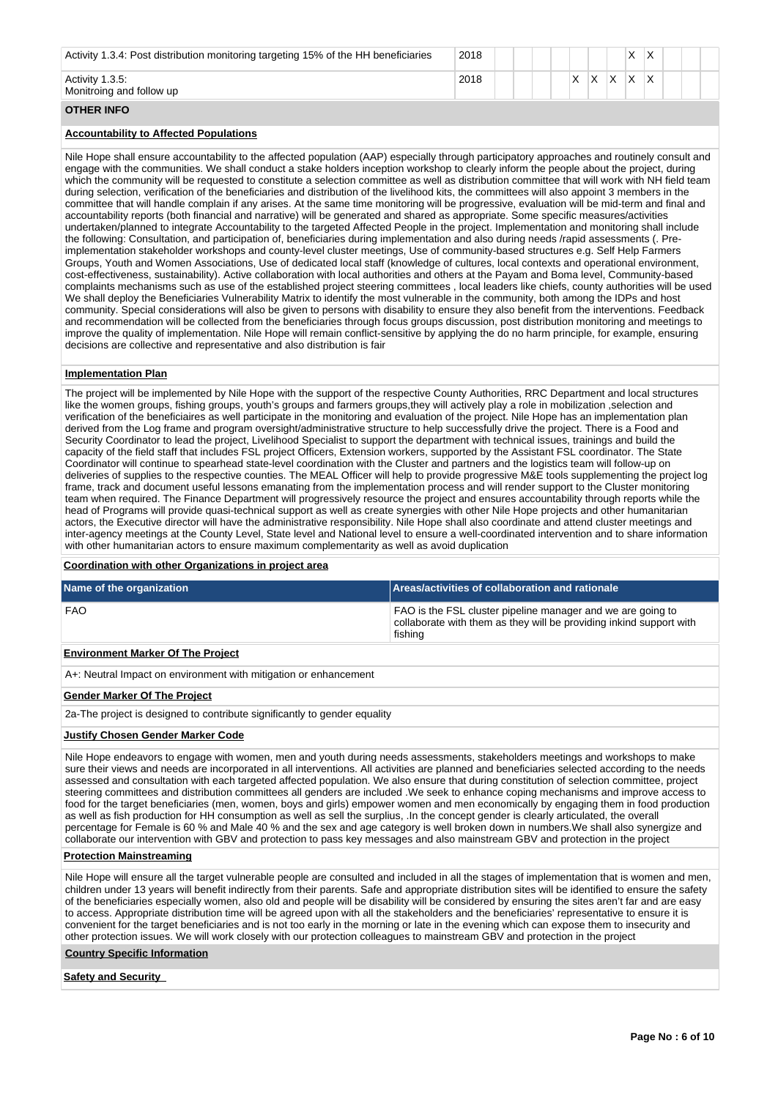| Activity 1.3.4: Post distribution monitoring targeting 15% of the HH beneficiaries | 2018 |  |  |   |                   |   | X | $\checkmark$ |  |  |
|------------------------------------------------------------------------------------|------|--|--|---|-------------------|---|---|--------------|--|--|
| Activity 1.3.5:<br>Monitroing and follow up                                        | 2018 |  |  | Χ | $\checkmark$<br>⌒ | v | х | $\checkmark$ |  |  |
| <b>OTHER INFO</b>                                                                  |      |  |  |   |                   |   |   |              |  |  |

## **Accountability to Affected Populations**

Nile Hope shall ensure accountability to the affected population (AAP) especially through participatory approaches and routinely consult and engage with the communities. We shall conduct a stake holders inception workshop to clearly inform the people about the project, during which the community will be requested to constitute a selection committee as well as distribution committee that will work with NH field team during selection, verification of the beneficiaries and distribution of the livelihood kits, the committees will also appoint 3 members in the committee that will handle complain if any arises. At the same time monitoring will be progressive, evaluation will be mid-term and final and accountability reports (both financial and narrative) will be generated and shared as appropriate. Some specific measures/activities undertaken/planned to integrate Accountability to the targeted Affected People in the project. Implementation and monitoring shall include the following: Consultation, and participation of, beneficiaries during implementation and also during needs /rapid assessments (. Preimplementation stakeholder workshops and county-level cluster meetings, Use of community-based structures e.g. Self Help Farmers Groups, Youth and Women Associations, Use of dedicated local staff (knowledge of cultures, local contexts and operational environment, cost-effectiveness, sustainability). Active collaboration with local authorities and others at the Payam and Boma level, Community-based complaints mechanisms such as use of the established project steering committees , local leaders like chiefs, county authorities will be used We shall deploy the Beneficiaries Vulnerability Matrix to identify the most vulnerable in the community, both among the IDPs and host community. Special considerations will also be given to persons with disability to ensure they also benefit from the interventions. Feedback and recommendation will be collected from the beneficiaries through focus groups discussion, post distribution monitoring and meetings to improve the quality of implementation. Nile Hope will remain conflict-sensitive by applying the do no harm principle, for example, ensuring decisions are collective and representative and also distribution is fair

#### **Implementation Plan**

The project will be implemented by Nile Hope with the support of the respective County Authorities, RRC Department and local structures like the women groups, fishing groups, youth's groups and farmers groups,they will actively play a role in mobilization ,selection and verification of the beneficiaires as well participate in the monitoring and evaluation of the project. Nile Hope has an implementation plan derived from the Log frame and program oversight/administrative structure to help successfully drive the project. There is a Food and Security Coordinator to lead the project, Livelihood Specialist to support the department with technical issues, trainings and build the capacity of the field staff that includes FSL project Officers, Extension workers, supported by the Assistant FSL coordinator. The State Coordinator will continue to spearhead state-level coordination with the Cluster and partners and the logistics team will follow-up on deliveries of supplies to the respective counties. The MEAL Officer will help to provide progressive M&E tools supplementing the project log frame, track and document useful lessons emanating from the implementation process and will render support to the Cluster monitoring team when required. The Finance Department will progressively resource the project and ensures accountability through reports while the head of Programs will provide quasi-technical support as well as create synergies with other Nile Hope projects and other humanitarian actors, the Executive director will have the administrative responsibility. Nile Hope shall also coordinate and attend cluster meetings and inter-agency meetings at the County Level, State level and National level to ensure a well-coordinated intervention and to share information with other humanitarian actors to ensure maximum complementarity as well as avoid duplication

#### **Coordination with other Organizations in project area**

| Name of the organization                                                  | Areas/activities of collaboration and rationale                                                                                               |  |  |  |  |  |  |  |
|---------------------------------------------------------------------------|-----------------------------------------------------------------------------------------------------------------------------------------------|--|--|--|--|--|--|--|
| <b>FAO</b>                                                                | FAO is the FSL cluster pipeline manager and we are going to<br>collaborate with them as they will be providing inkind support with<br>fishing |  |  |  |  |  |  |  |
| <b>Environment Marker Of The Project</b>                                  |                                                                                                                                               |  |  |  |  |  |  |  |
| A+: Neutral Impact on environment with mitigation or enhancement          |                                                                                                                                               |  |  |  |  |  |  |  |
| <b>Gender Marker Of The Project</b>                                       |                                                                                                                                               |  |  |  |  |  |  |  |
| 2a-The project is designed to contribute significantly to gender equality |                                                                                                                                               |  |  |  |  |  |  |  |
|                                                                           |                                                                                                                                               |  |  |  |  |  |  |  |

#### **Justify Chosen Gender Marker Code**

Nile Hope endeavors to engage with women, men and youth during needs assessments, stakeholders meetings and workshops to make sure their views and needs are incorporated in all interventions. All activities are planned and beneficiaries selected according to the needs assessed and consultation with each targeted affected population. We also ensure that during constitution of selection committee, project steering committees and distribution committees all genders are included .We seek to enhance coping mechanisms and improve access to food for the target beneficiaries (men, women, boys and girls) empower women and men economically by engaging them in food production as well as fish production for HH consumption as well as sell the surplius, .In the concept gender is clearly articulated, the overall percentage for Female is 60 % and Male 40 % and the sex and age category is well broken down in numbers.We shall also synergize and collaborate our intervention with GBV and protection to pass key messages and also mainstream GBV and protection in the project

#### **Protection Mainstreaming**

Nile Hope will ensure all the target vulnerable people are consulted and included in all the stages of implementation that is women and men, children under 13 years will benefit indirectly from their parents. Safe and appropriate distribution sites will be identified to ensure the safety of the beneficiaries especially women, also old and people will be disability will be considered by ensuring the sites aren't far and are easy to access. Appropriate distribution time will be agreed upon with all the stakeholders and the beneficiaries' representative to ensure it is convenient for the target beneficiaries and is not too early in the morning or late in the evening which can expose them to insecurity and other protection issues. We will work closely with our protection colleagues to mainstream GBV and protection in the project

#### **Country Specific Information**

**Safety and Security**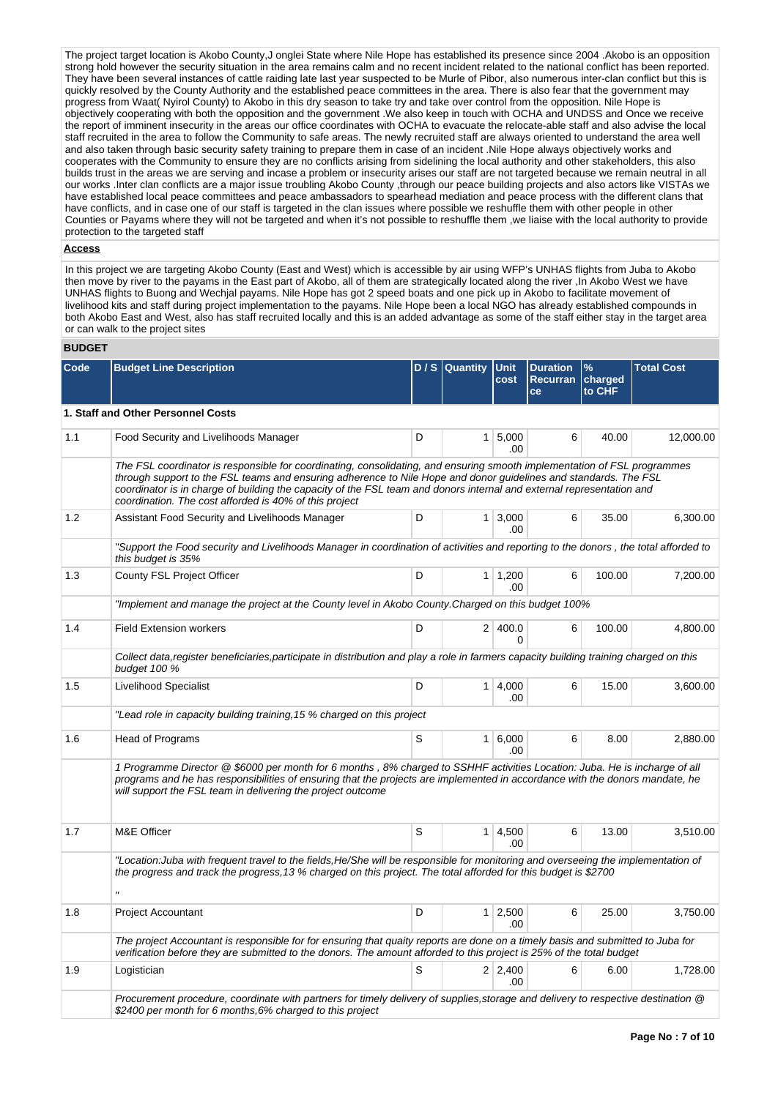The project target location is Akobo County,J onglei State where Nile Hope has established its presence since 2004 .Akobo is an opposition strong hold however the security situation in the area remains calm and no recent incident related to the national conflict has been reported. They have been several instances of cattle raiding late last year suspected to be Murle of Pibor, also numerous inter-clan conflict but this is quickly resolved by the County Authority and the established peace committees in the area. There is also fear that the government may progress from Waat( Nyirol County) to Akobo in this dry season to take try and take over control from the opposition. Nile Hope is objectively cooperating with both the opposition and the government .We also keep in touch with OCHA and UNDSS and Once we receive the report of imminent insecurity in the areas our office coordinates with OCHA to evacuate the relocate-able staff and also advise the local staff recruited in the area to follow the Community to safe areas. The newly recruited staff are always oriented to understand the area well and also taken through basic security safety training to prepare them in case of an incident .Nile Hope always objectively works and cooperates with the Community to ensure they are no conflicts arising from sidelining the local authority and other stakeholders, this also builds trust in the areas we are serving and incase a problem or insecurity arises our staff are not targeted because we remain neutral in all our works .Inter clan conflicts are a major issue troubling Akobo County ,through our peace building projects and also actors like VISTAs we have established local peace committees and peace ambassadors to spearhead mediation and peace process with the different clans that have conflicts, and in case one of our staff is targeted in the clan issues where possible we reshuffle them with other people in other Counties or Payams where they will not be targeted and when it's not possible to reshuffle them ,we liaise with the local authority to provide protection to the targeted staff

## **Access**

In this project we are targeting Akobo County (East and West) which is accessible by air using WFP's UNHAS flights from Juba to Akobo then move by river to the payams in the East part of Akobo, all of them are strategically located along the river ,In Akobo West we have UNHAS flights to Buong and Wechjal payams. Nile Hope has got 2 speed boats and one pick up in Akobo to facilitate movement of livelihood kits and staff during project implementation to the payams. Nile Hope been a local NGO has already established compounds in both Akobo East and West, also has staff recruited locally and this is an added advantage as some of the staff either stay in the target area or can walk to the project sites

## **BUDGET**

| Code | <b>Budget Line Description</b>                                                                                                                                                                                                                                                                                                                                                                                                  |   | D / S Quantity | <b>Unit</b><br>cost   | <b>Duration</b><br>Recurran charged<br>ce | %<br>to CHF | <b>Total Cost</b> |
|------|---------------------------------------------------------------------------------------------------------------------------------------------------------------------------------------------------------------------------------------------------------------------------------------------------------------------------------------------------------------------------------------------------------------------------------|---|----------------|-----------------------|-------------------------------------------|-------------|-------------------|
|      | 1. Staff and Other Personnel Costs                                                                                                                                                                                                                                                                                                                                                                                              |   |                |                       |                                           |             |                   |
| 1.1  | Food Security and Livelihoods Manager                                                                                                                                                                                                                                                                                                                                                                                           | D |                | 1   5,000<br>.00      | 6                                         | 40.00       | 12,000.00         |
|      | The FSL coordinator is responsible for coordinating, consolidating, and ensuring smooth implementation of FSL programmes<br>through support to the FSL teams and ensuring adherence to Nile Hope and donor guidelines and standards. The FSL<br>coordinator is in charge of building the capacity of the FSL team and donors internal and external representation and<br>coordination. The cost afforded is 40% of this project |   |                |                       |                                           |             |                   |
| 1.2  | Assistant Food Security and Livelihoods Manager                                                                                                                                                                                                                                                                                                                                                                                 | D |                | $1 \mid 3,000$<br>.00 | 6                                         | 35.00       | 6,300.00          |
|      | "Support the Food security and Livelihoods Manager in coordination of activities and reporting to the donors, the total afforded to<br>this budget is 35%                                                                                                                                                                                                                                                                       |   |                |                       |                                           |             |                   |
| 1.3  | County FSL Project Officer                                                                                                                                                                                                                                                                                                                                                                                                      | D |                | $1 \mid 1,200$<br>.00 | 6                                         | 100.00      | 7,200.00          |
|      | "Implement and manage the project at the County level in Akobo County.Charged on this budget 100%                                                                                                                                                                                                                                                                                                                               |   |                |                       |                                           |             |                   |
| 1.4  | <b>Field Extension workers</b>                                                                                                                                                                                                                                                                                                                                                                                                  | D |                | 2 400.0<br>0          | 6                                         | 100.00      | 4.800.00          |
|      | Collect data, register beneficiaries, participate in distribution and play a role in farmers capacity building training charged on this<br>budget 100 %                                                                                                                                                                                                                                                                         |   |                |                       |                                           |             |                   |
| 1.5  | Livelihood Specialist                                                                                                                                                                                                                                                                                                                                                                                                           | D |                | 1   4,000<br>.00      | 6                                         | 15.00       | 3,600.00          |
|      | "Lead role in capacity building training, 15 % charged on this project                                                                                                                                                                                                                                                                                                                                                          |   |                |                       |                                           |             |                   |
| 1.6  | Head of Programs                                                                                                                                                                                                                                                                                                                                                                                                                | S |                | 1 6,000<br>.00        | 6                                         | 8.00        | 2,880.00          |
|      | 1 Programme Director @ \$6000 per month for 6 months, 8% charged to SSHHF activities Location: Juba. He is incharge of all<br>programs and he has responsibilities of ensuring that the projects are implemented in accordance with the donors mandate, he<br>will support the FSL team in delivering the project outcome                                                                                                       |   |                |                       |                                           |             |                   |
| 1.7  | M&E Officer                                                                                                                                                                                                                                                                                                                                                                                                                     | S |                | $1 \mid 4,500$<br>.00 | 6                                         | 13.00       | 3,510.00          |
|      | "Location: Juba with frequent travel to the fields, He/She will be responsible for monitoring and overseeing the implementation of<br>the progress and track the progress, 13 % charged on this project. The total afforded for this budget is \$2700<br>$\mathbf{u}$                                                                                                                                                           |   |                |                       |                                           |             |                   |
| 1.8  | <b>Project Accountant</b>                                                                                                                                                                                                                                                                                                                                                                                                       | D |                | 1 2,500               | 6                                         | 25.00       | 3,750.00          |
|      |                                                                                                                                                                                                                                                                                                                                                                                                                                 |   |                | .00                   |                                           |             |                   |
|      | The project Accountant is responsible for for ensuring that quaity reports are done on a timely basis and submitted to Juba for<br>verification before they are submitted to the donors. The amount afforded to this project is 25% of the total budget                                                                                                                                                                         |   |                |                       |                                           |             |                   |
| 1.9  | Logistician                                                                                                                                                                                                                                                                                                                                                                                                                     | S |                | $2 \mid 2,400$<br>.00 | 6                                         | 6.00        | 1,728.00          |
|      | Procurement procedure, coordinate with partners for timely delivery of supplies, storage and delivery to respective destination @<br>\$2400 per month for 6 months, 6% charged to this project                                                                                                                                                                                                                                  |   |                |                       |                                           |             |                   |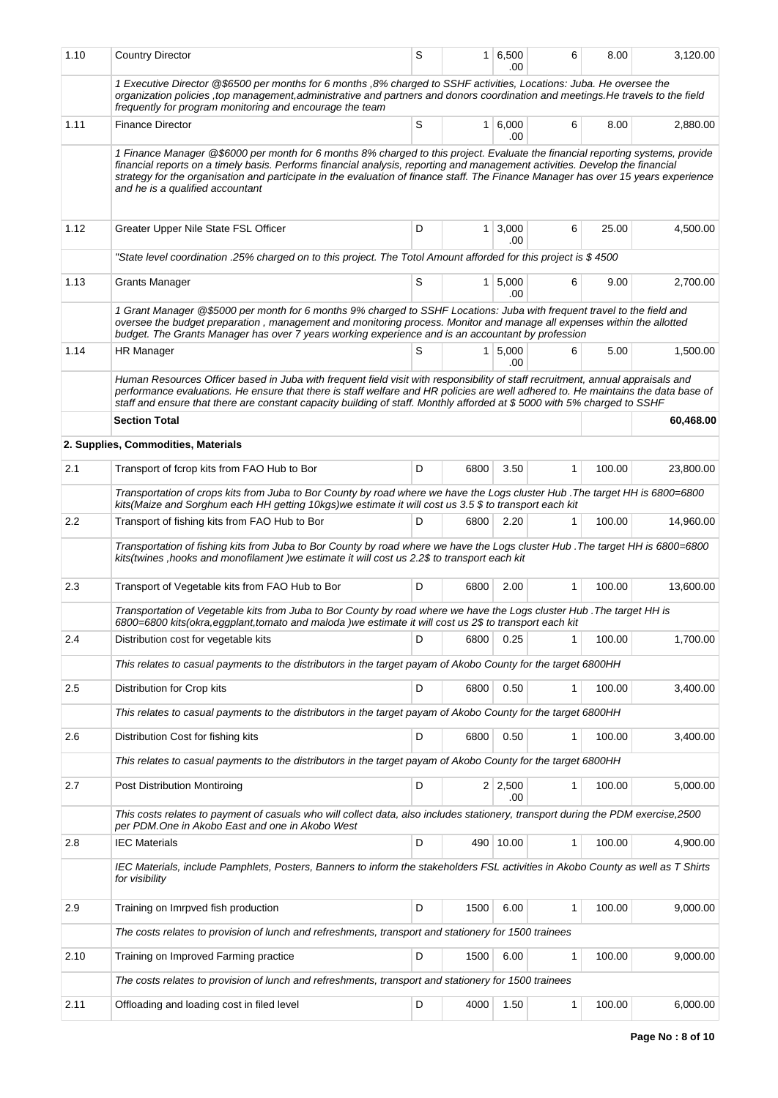| 1.10             | <b>Country Director</b>                                                                                                                                                                                                                                                                                                                                                                                                                  | S |                | 1 6,500<br>.00        | 6            | 8.00   | 3,120.00  |
|------------------|------------------------------------------------------------------------------------------------------------------------------------------------------------------------------------------------------------------------------------------------------------------------------------------------------------------------------------------------------------------------------------------------------------------------------------------|---|----------------|-----------------------|--------------|--------|-----------|
|                  | 1 Executive Director @\$6500 per months for 6 months ,8% charged to SSHF activities, Locations: Juba. He oversee the<br>organization policies , top management, administrative and partners and donors coordination and meetings. He travels to the field<br>frequently for program monitoring and encourage the team                                                                                                                    |   |                |                       |              |        |           |
| 1.11             | <b>Finance Director</b>                                                                                                                                                                                                                                                                                                                                                                                                                  | S | 1 <sup>1</sup> | 6,000<br>.00          | 6            | 8.00   | 2,880.00  |
|                  | 1 Finance Manager @\$6000 per month for 6 months 8% charged to this project. Evaluate the financial reporting systems, provide<br>financial reports on a timely basis. Performs financial analysis, reporting and management activities. Develop the financial<br>strategy for the organisation and participate in the evaluation of finance staff. The Finance Manager has over 15 years experience<br>and he is a qualified accountant |   |                |                       |              |        |           |
| 1.12             | Greater Upper Nile State FSL Officer                                                                                                                                                                                                                                                                                                                                                                                                     | D | 1 <sup>1</sup> | 3,000<br>.00          | 6            | 25.00  | 4,500.00  |
|                  | "State level coordination .25% charged on to this project. The Totol Amount afforded for this project is \$4500                                                                                                                                                                                                                                                                                                                          |   |                |                       |              |        |           |
| 1.13             | <b>Grants Manager</b>                                                                                                                                                                                                                                                                                                                                                                                                                    | S |                | $1 \, 5,000$<br>.00   | 6            | 9.00   | 2,700.00  |
|                  | 1 Grant Manager @\$5000 per month for 6 months 9% charged to SSHF Locations: Juba with frequent travel to the field and<br>oversee the budget preparation, management and monitoring process. Monitor and manage all expenses within the allotted<br>budget. The Grants Manager has over 7 years working experience and is an accountant by profession                                                                                   |   |                |                       |              |        |           |
| 1.14             | <b>HR Manager</b>                                                                                                                                                                                                                                                                                                                                                                                                                        | S |                | 1   5,000<br>.00      | 6            | 5.00   | 1,500.00  |
|                  | Human Resources Officer based in Juba with frequent field visit with responsibility of staff recruitment, annual appraisals and<br>performance evaluations. He ensure that there is staff welfare and HR policies are well adhered to. He maintains the data base of<br>staff and ensure that there are constant capacity building of staff. Monthly afforded at \$5000 with 5% charged to SSHF                                          |   |                |                       |              |        |           |
|                  | <b>Section Total</b>                                                                                                                                                                                                                                                                                                                                                                                                                     |   |                |                       |              |        | 60,468.00 |
|                  | 2. Supplies, Commodities, Materials                                                                                                                                                                                                                                                                                                                                                                                                      |   |                |                       |              |        |           |
| 2.1              | Transport of fcrop kits from FAO Hub to Bor                                                                                                                                                                                                                                                                                                                                                                                              | D | 6800           | 3.50                  | 1            | 100.00 | 23,800.00 |
|                  | Transportation of crops kits from Juba to Bor County by road where we have the Logs cluster Hub . The target HH is 6800=6800<br>kits(Maize and Sorghum each HH getting 10kgs)we estimate it will cost us 3.5 \$ to transport each kit                                                                                                                                                                                                    |   |                |                       |              |        |           |
| $2.2\phantom{0}$ | Transport of fishing kits from FAO Hub to Bor                                                                                                                                                                                                                                                                                                                                                                                            | D | 6800           | 2.20                  | 1            | 100.00 | 14,960.00 |
|                  | Transportation of fishing kits from Juba to Bor County by road where we have the Logs cluster Hub . The target HH is 6800=6800<br>kits(twines , hooks and monofilament ) we estimate it will cost us 2.2\$ to transport each kit                                                                                                                                                                                                         |   |                |                       |              |        |           |
| 2.3              | Transport of Vegetable kits from FAO Hub to Bor                                                                                                                                                                                                                                                                                                                                                                                          | D | 6800           | 2.00                  | $\mathbf{1}$ | 100.00 | 13,600.00 |
|                  | Transportation of Vegetable kits from Juba to Bor County by road where we have the Logs cluster Hub . The target HH is<br>6800=6800 kits(okra, eggplant, tomato and maloda) we estimate it will cost us 2\$ to transport each kit                                                                                                                                                                                                        |   |                |                       |              |        |           |
| 2.4              | Distribution cost for vegetable kits                                                                                                                                                                                                                                                                                                                                                                                                     | D | 6800           | 0.25                  | 1            | 100.00 | 1,700.00  |
|                  | This relates to casual payments to the distributors in the target payam of Akobo County for the target 6800HH                                                                                                                                                                                                                                                                                                                            |   |                |                       |              |        |           |
| 2.5              | Distribution for Crop kits                                                                                                                                                                                                                                                                                                                                                                                                               | D | 6800           | 0.50                  | $\mathbf{1}$ | 100.00 | 3,400.00  |
|                  | This relates to casual payments to the distributors in the target payam of Akobo County for the target 6800HH                                                                                                                                                                                                                                                                                                                            |   |                |                       |              |        |           |
| 2.6              | Distribution Cost for fishing kits                                                                                                                                                                                                                                                                                                                                                                                                       | D | 6800           | 0.50                  | 1            | 100.00 | 3,400.00  |
|                  | This relates to casual payments to the distributors in the target payam of Akobo County for the target 6800HH                                                                                                                                                                                                                                                                                                                            |   |                |                       |              |        |           |
| 2.7              | Post Distribution Montiroing                                                                                                                                                                                                                                                                                                                                                                                                             | D |                | $2 \mid 2,500$<br>.00 | 1            | 100.00 | 5,000.00  |
|                  | This costs relates to payment of casuals who will collect data, also includes stationery, transport during the PDM exercise,2500<br>per PDM. One in Akobo East and one in Akobo West                                                                                                                                                                                                                                                     |   |                |                       |              |        |           |
| 2.8              | <b>IEC Materials</b>                                                                                                                                                                                                                                                                                                                                                                                                                     | D |                | 490 10.00             | $\mathbf{1}$ | 100.00 | 4,900.00  |
|                  | IEC Materials, include Pamphlets, Posters, Banners to inform the stakeholders FSL activities in Akobo County as well as T Shirts<br>for visibility                                                                                                                                                                                                                                                                                       |   |                |                       |              |        |           |
| 2.9              | Training on Imrpved fish production                                                                                                                                                                                                                                                                                                                                                                                                      | D | 1500           | 6.00                  | 1            | 100.00 | 9,000.00  |
|                  | The costs relates to provision of lunch and refreshments, transport and stationery for 1500 trainees                                                                                                                                                                                                                                                                                                                                     |   |                |                       |              |        |           |
| 2.10             | Training on Improved Farming practice                                                                                                                                                                                                                                                                                                                                                                                                    | D | 1500           | 6.00                  | 1            | 100.00 | 9,000.00  |
|                  | The costs relates to provision of lunch and refreshments, transport and stationery for 1500 trainees                                                                                                                                                                                                                                                                                                                                     |   |                |                       |              |        |           |
| 2.11             | Offloading and loading cost in filed level                                                                                                                                                                                                                                                                                                                                                                                               | D | 4000           | 1.50                  | 1            | 100.00 | 6,000.00  |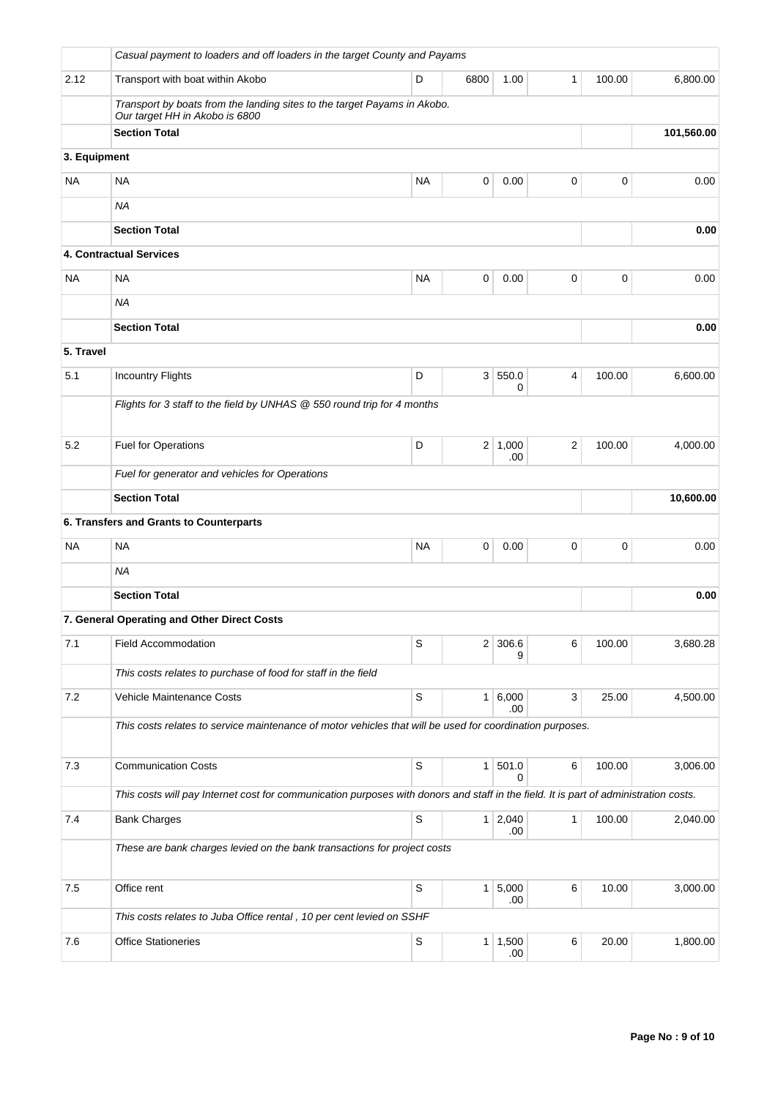|              | Casual payment to loaders and off loaders in the target County and Payams                                                            |             |                |                       |                |        |            |
|--------------|--------------------------------------------------------------------------------------------------------------------------------------|-------------|----------------|-----------------------|----------------|--------|------------|
| 2.12         | Transport with boat within Akobo                                                                                                     | D           | 6800           | 1.00                  | 1              | 100.00 | 6,800.00   |
|              | Transport by boats from the landing sites to the target Payams in Akobo.<br>Our target HH in Akobo is 6800                           |             |                |                       |                |        |            |
|              | <b>Section Total</b>                                                                                                                 |             |                |                       |                |        | 101,560.00 |
| 3. Equipment |                                                                                                                                      |             |                |                       |                |        |            |
| <b>NA</b>    | <b>NA</b>                                                                                                                            | <b>NA</b>   | 0              | 0.00                  | 0              | 0      | 0.00       |
|              | <b>NA</b>                                                                                                                            |             |                |                       |                |        |            |
|              | <b>Section Total</b>                                                                                                                 |             |                |                       |                |        | 0.00       |
|              | 4. Contractual Services                                                                                                              |             |                |                       |                |        |            |
| <b>NA</b>    | NA                                                                                                                                   | <b>NA</b>   | 0              | 0.00                  | 0              | 0      | 0.00       |
|              | <b>NA</b>                                                                                                                            |             |                |                       |                |        |            |
|              | <b>Section Total</b>                                                                                                                 |             |                |                       |                |        | 0.00       |
| 5. Travel    |                                                                                                                                      |             |                |                       |                |        |            |
| 5.1          | <b>Incountry Flights</b>                                                                                                             | D           |                | 3 550.0<br>0          | 4              | 100.00 | 6,600.00   |
|              | Flights for 3 staff to the field by UNHAS @ 550 round trip for 4 months                                                              |             |                |                       |                |        |            |
|              |                                                                                                                                      |             |                |                       |                |        |            |
| 5.2          | Fuel for Operations                                                                                                                  | D           |                | $2 \mid 1,000$<br>.00 | $\overline{2}$ | 100.00 | 4,000.00   |
|              | Fuel for generator and vehicles for Operations                                                                                       |             |                |                       |                |        |            |
|              | <b>Section Total</b>                                                                                                                 |             |                |                       |                |        | 10,600.00  |
|              | 6. Transfers and Grants to Counterparts                                                                                              |             |                |                       |                |        |            |
| <b>NA</b>    | <b>NA</b>                                                                                                                            | <b>NA</b>   | 0              | 0.00                  | 0              | 0      | 0.00       |
|              | ΝA                                                                                                                                   |             |                |                       |                |        |            |
|              | <b>Section Total</b>                                                                                                                 |             |                |                       |                |        | 0.00       |
|              | 7. General Operating and Other Direct Costs                                                                                          |             |                |                       |                |        |            |
| 7.1          | <b>Field Accommodation</b>                                                                                                           | S           | 2              | 306.6<br>9            | 6              | 100.00 | 3,680.28   |
|              | This costs relates to purchase of food for staff in the field                                                                        |             |                |                       |                |        |            |
| 7.2          | Vehicle Maintenance Costs                                                                                                            | $\mathbb S$ |                | 1 6,000               | 3              | 25.00  | 4,500.00   |
|              | This costs relates to service maintenance of motor vehicles that will be used for coordination purposes.                             |             |                | .00                   |                |        |            |
|              |                                                                                                                                      |             |                |                       |                |        |            |
| 7.3          | <b>Communication Costs</b>                                                                                                           | S           | 1              | 501.0<br>0            | 6              | 100.00 | 3,006.00   |
|              | This costs will pay Internet cost for communication purposes with donors and staff in the field. It is part of administration costs. |             |                |                       |                |        |            |
| 7.4          | <b>Bank Charges</b>                                                                                                                  | $\mathsf S$ |                | $1 \mid 2,040$        | 1              | 100.00 | 2,040.00   |
|              | These are bank charges levied on the bank transactions for project costs                                                             |             |                | .00                   |                |        |            |
|              |                                                                                                                                      |             |                |                       |                |        |            |
| 7.5          | Office rent                                                                                                                          | S           | 1 <sup>1</sup> | 5,000<br>.00          | 6              | 10.00  | 3,000.00   |
|              | This costs relates to Juba Office rental, 10 per cent levied on SSHF                                                                 |             |                |                       |                |        |            |
| 7.6          | <b>Office Stationeries</b>                                                                                                           | $\mathbb S$ |                | 1   1,500<br>.00.     | 6              | 20.00  | 1,800.00   |